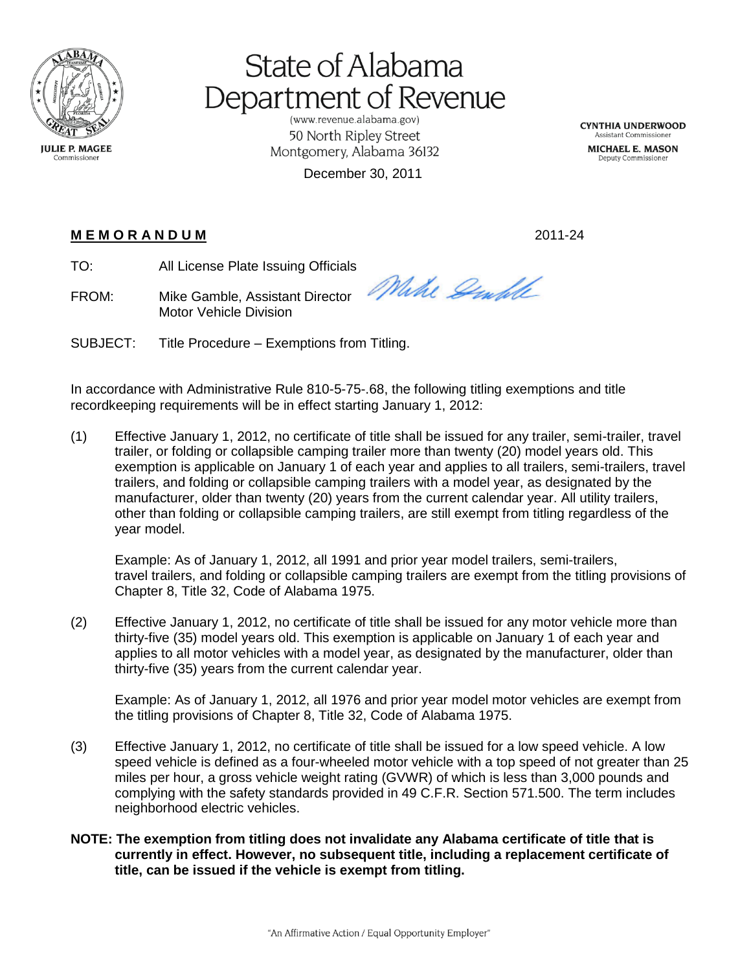

State of Alabama Department of Revenue

(www.revenue.alabama.gov) 50 North Ripley Street Montgomery, Alabama 36132 December 30, 2011

**CYNTHIA UNDERWOOD Assistant Commissione** 

MICHAEL E. MASON Deputy Commissione

## **M E M O R A N D U M** 2011-24

TO: All License Plate Issuing Officials

FROM: Mike Gamble, Assistant Director Motor Vehicle Division

SUBJECT: Title Procedure – Exemptions from Titling.

Mike Gulle

In accordance with Administrative Rule 810-5-75-.68, the following titling exemptions and title

recordkeeping requirements will be in effect starting January 1, 2012:

(1) Effective January 1, 2012, no certificate of title shall be issued for any trailer, semi-trailer, travel trailer, or folding or collapsible camping trailer more than twenty (20) model years old. This exemption is applicable on January 1 of each year and applies to all trailers, semi-trailers, travel trailers, and folding or collapsible camping trailers with a model year, as designated by the manufacturer, older than twenty (20) years from the current calendar year. All utility trailers, other than folding or collapsible camping trailers, are still exempt from titling regardless of the year model.

Example: As of January 1, 2012, all 1991 and prior year model trailers, semi-trailers, travel trailers, and folding or collapsible camping trailers are exempt from the titling provisions of Chapter 8, Title 32, Code of Alabama 1975.

(2) Effective January 1, 2012, no certificate of title shall be issued for any motor vehicle more than thirty-five (35) model years old. This exemption is applicable on January 1 of each year and applies to all motor vehicles with a model year, as designated by the manufacturer, older than thirty-five (35) years from the current calendar year.

Example: As of January 1, 2012, all 1976 and prior year model motor vehicles are exempt from the titling provisions of Chapter 8, Title 32, Code of Alabama 1975.

- (3) Effective January 1, 2012, no certificate of title shall be issued for a low speed vehicle. A low speed vehicle is defined as a four-wheeled motor vehicle with a top speed of not greater than 25 miles per hour, a gross vehicle weight rating (GVWR) of which is less than 3,000 pounds and complying with the safety standards provided in 49 C.F.R. Section 571.500. The term includes neighborhood electric vehicles.
- **NOTE: The exemption from titling does not invalidate any Alabama certificate of title that is currently in effect. However, no subsequent title, including a replacement certificate of title, can be issued if the vehicle is exempt from titling.**